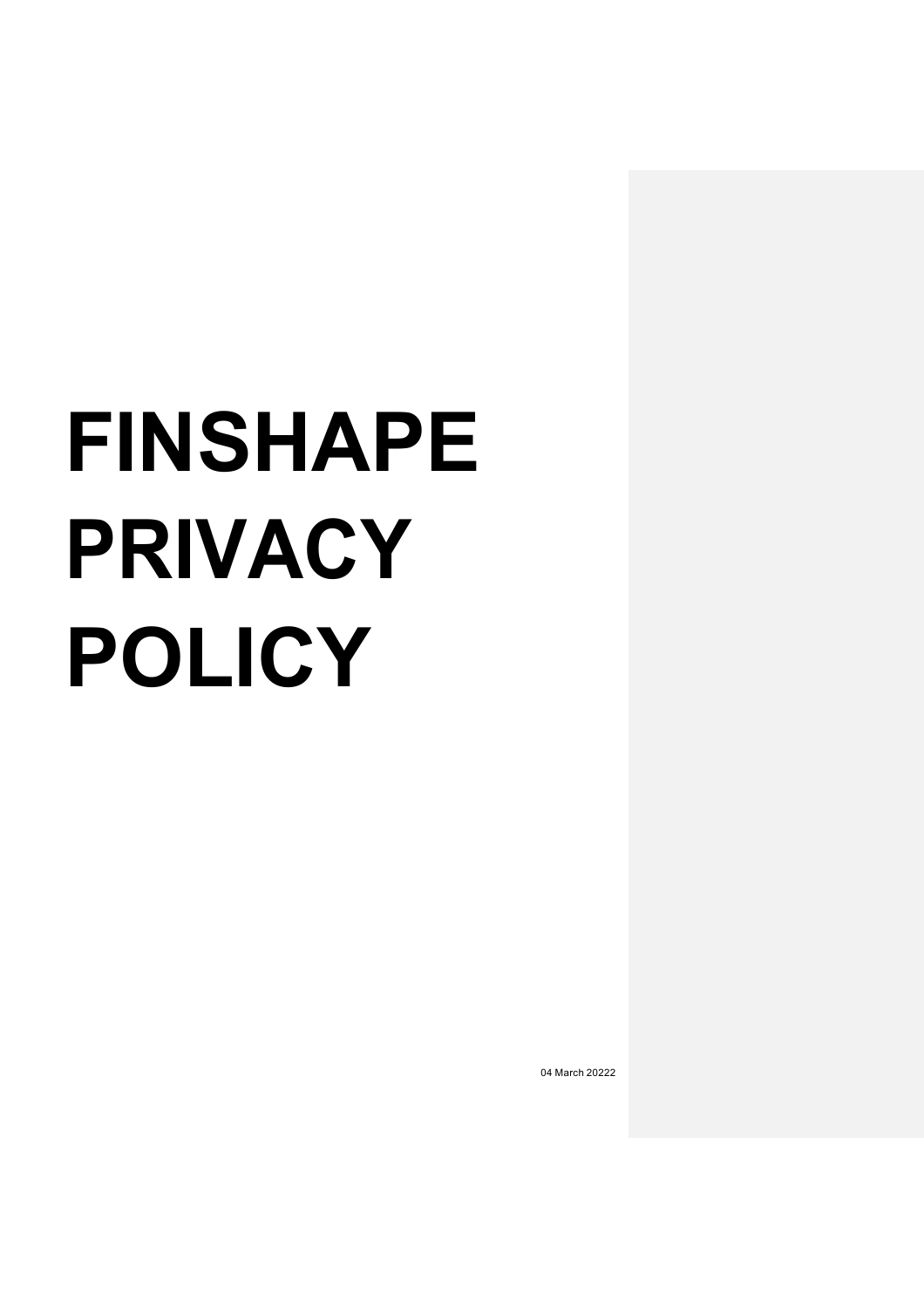# **FINSHAPE PRIVACY POLICY**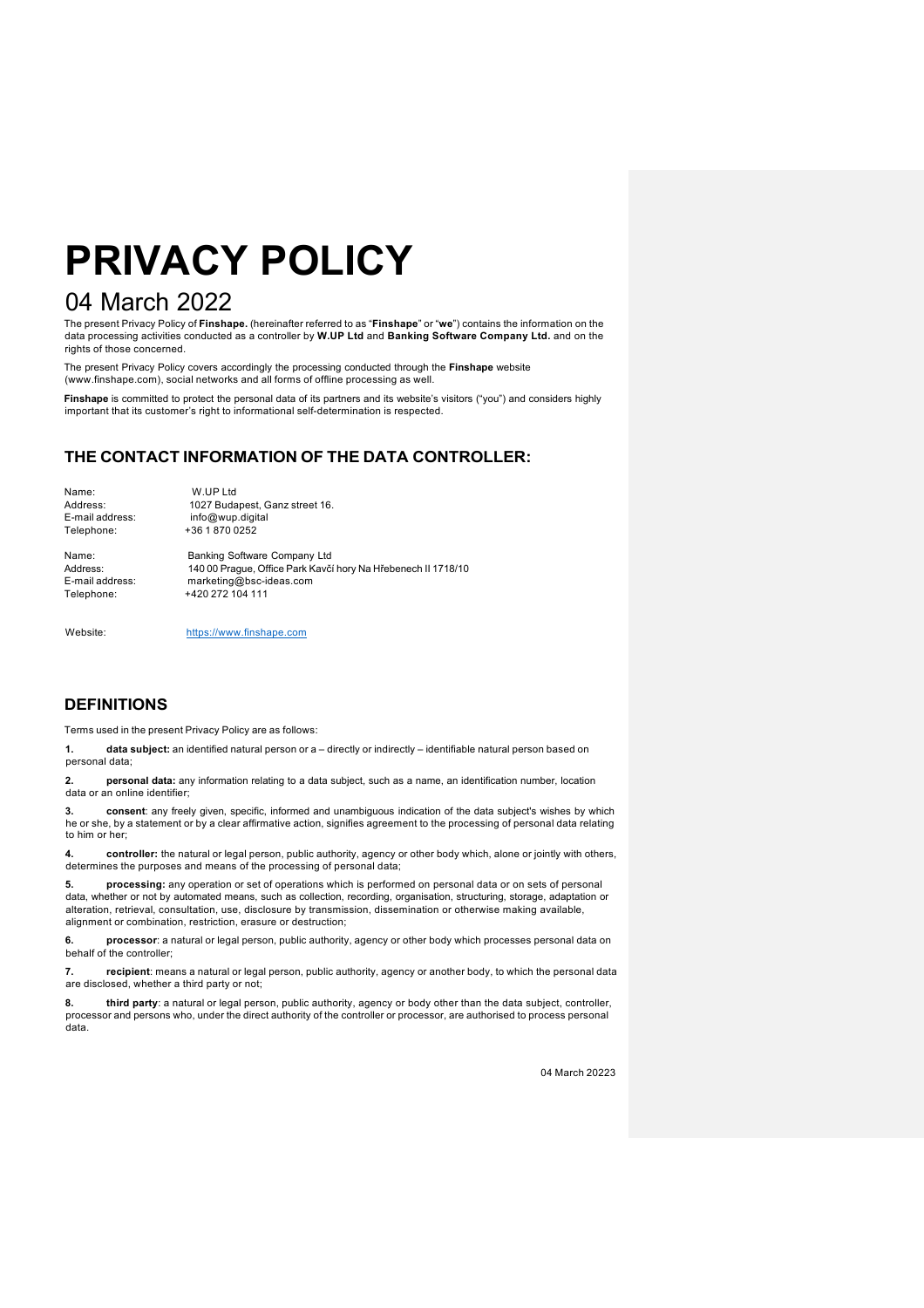## **PRIVACY POLICY**

### 04 March 2022

The present Privacy Policy of **Finshape.** (hereinafter referred to as "**Finshape**" or "**we**") contains the information on the data processing activities conducted as a controller by **W.UP Ltd** and **Banking Software Company Ltd.** and on the rights of those concerned.

The present Privacy Policy covers accordingly the processing conducted through the **Finshape** website (www.finshape.com), social networks and all forms of offline processing as well.

**Finshape** is committed to protect the personal data of its partners and its website's visitors ("you") and considers highly important that its customer's right to informational self-determination is respected.

#### **THE CONTACT INFORMATION OF THE DATA CONTROLLER:**

| Name:           | W.UP Ltd                                                      |
|-----------------|---------------------------------------------------------------|
| Address:        | 1027 Budapest, Ganz street 16.                                |
| E-mail address: | info@wup.digital                                              |
| Telephone:      | +36 1 870 0252                                                |
| Name:           | Banking Software Company Ltd                                  |
| Address:        | 140 00 Praque, Office Park Kavčí hory Na Hřebenech II 1718/10 |
| E-mail address: | marketing@bsc-ideas.com                                       |
| Telephone:      | +420 272 104 111                                              |
|                 |                                                               |

Website: https://www.finshape.com

#### **DEFINITIONS**

Terms used in the present Privacy Policy are as follows:

**1. data subject:** an identified natural person or a – directly or indirectly – identifiable natural person based on personal data;

**2. personal data:** any information relating to a data subject, such as a name, an identification number, location data or an online identifier;

**3. consent**: any freely given, specific, informed and unambiguous indication of the data subject's wishes by which he or she, by a statement or by a clear affirmative action, signifies agreement to the processing of personal data relating to him or her;

**4. controller:** the natural or legal person, public authority, agency or other body which, alone or jointly with others, determines the purposes and means of the processing of personal data;

**5. processing:** any operation or set of operations which is performed on personal data or on sets of personal data, whether or not by automated means, such as collection, recording, organisation, structuring, storage, adaptation or alteration, retrieval, consultation, use, disclosure by transmission, dissemination or otherwise making available, alignment or combination, restriction, erasure or destruction;

**6. processor**: a natural or legal person, public authority, agency or other body which processes personal data on behalf of the controller;

**7. recipient**: means a natural or legal person, public authority, agency or another body, to which the personal data are disclosed, whether a third party or not;

**8. third party**: a natural or legal person, public authority, agency or body other than the data subject, controller, processor and persons who, under the direct authority of the controller or processor, are authorised to process personal data.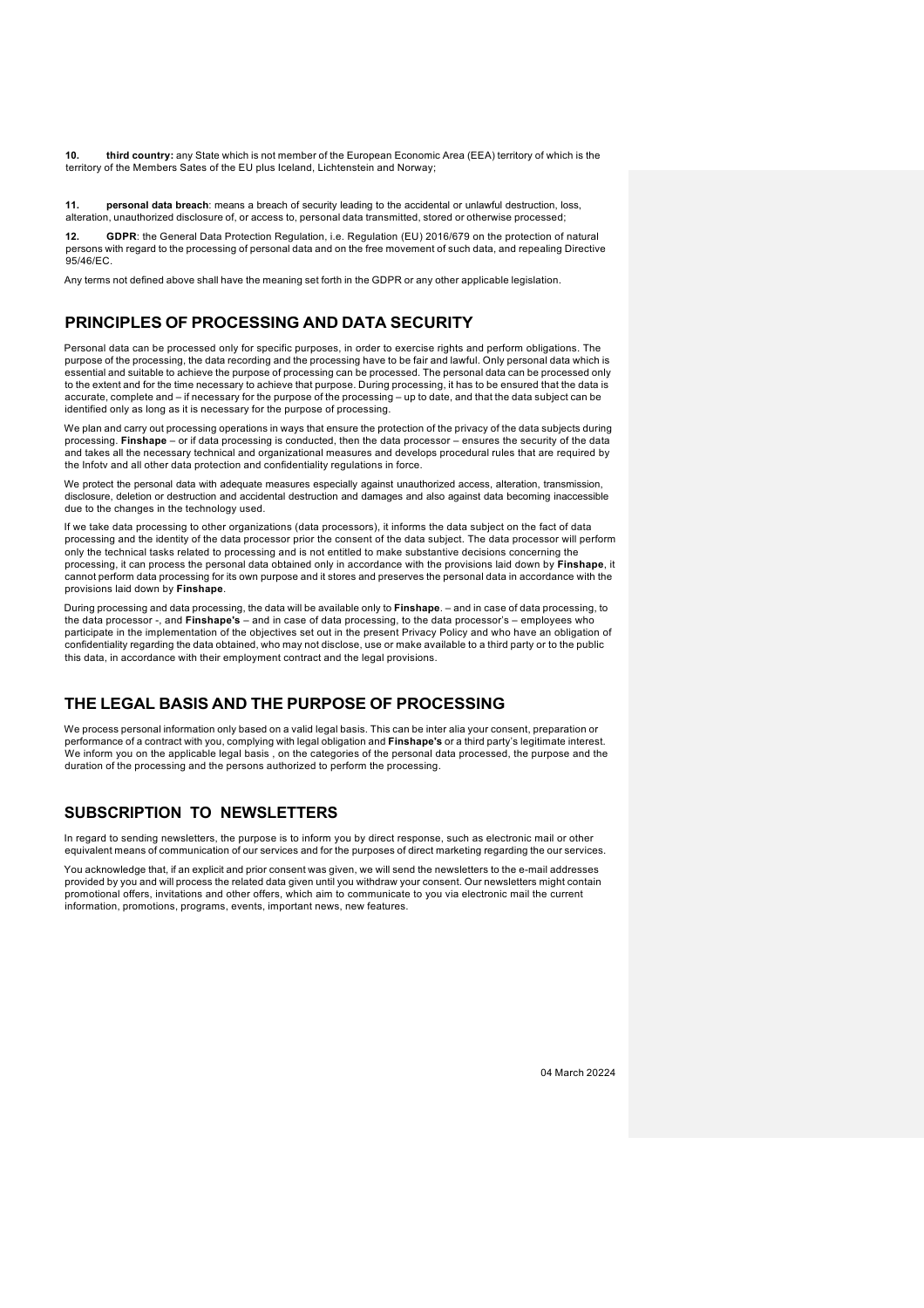**10. third country:** any State which is not member of the European Economic Area (EEA) territory of which is the territory of the Members Sates of the EU plus Iceland, Lichtenstein and Norway;

**11. personal data breach**: means a breach of security leading to the accidental or unlawful destruction, loss, alteration, unauthorized disclosure of, or access to, personal data transmitted, stored or otherwise processed;

**12. GDPR**: the General Data Protection Regulation, i.e. Regulation (EU) 2016/679 on the protection of natural persons with regard to the processing of personal data and on the free movement of such data, and repealing Directive 95/46/EC.

Any terms not defined above shall have the meaning set forth in the GDPR or any other applicable legislation.

#### **PRINCIPLES OF PROCESSING AND DATA SECURITY**

Personal data can be processed only for specific purposes, in order to exercise rights and perform obligations. The purpose of the processing, the data recording and the processing have to be fair and lawful. Only personal data which is essential and suitable to achieve the purpose of processing can be processed. The personal data can be processed only to the extent and for the time necessary to achieve that purpose. During processing, it has to be ensured that the data is accurate, complete and – if necessary for the purpose of the processing – up to date, and that the data subject can be identified only as long as it is necessary for the purpose of processing.

We plan and carry out processing operations in ways that ensure the protection of the privacy of the data subjects during processing. **Finshape** – or if data processing is conducted, then the data processor – ensures the security of the data and takes all the necessary technical and organizational measures and develops procedural rules that are required by the Infotv and all other data protection and confidentiality regulations in force.

We protect the personal data with adequate measures especially against unauthorized access, alteration, transmission, disclosure, deletion or destruction and accidental destruction and damages and also against data becoming inaccessible due to the changes in the technology used.

If we take data processing to other organizations (data processors), it informs the data subject on the fact of data processing and the identity of the data processor prior the consent of the data subject. The data processor will perform only the technical tasks related to processing and is not entitled to make substantive decisions concerning the processing, it can process the personal data obtained only in accordance with the provisions laid down by **Finshape**, it cannot perform data processing for its own purpose and it stores and preserves the personal data in accordance with the provisions laid down by **Finshape**.

During processing and data processing, the data will be available only to **Finshape**. – and in case of data processing, to the data processor -, and **Finshape's** – and in case of data processing, to the data processor's – employees who participate in the implementation of the objectives set out in the present Privacy Policy and who have an obligation of confidentiality regarding the data obtained, who may not disclose, use or make available to a third party or to the public this data, in accordance with their employment contract and the legal provisions.

#### **THE LEGAL BASIS AND THE PURPOSE OF PROCESSING**

We process personal information only based on a valid legal basis. This can be inter alia your consent, preparation or performance of a contract with you, complying with legal obligation and **Finshape's** or a third party's legitimate interest. We inform you on the applicable legal basis , on the categories of the personal data processed, the purpose and the duration of the processing and the persons authorized to perform the processing.

#### **SUBSCRIPTION TO NEWSLETTERS**

In regard to sending newsletters, the purpose is to inform you by direct response, such as electronic mail or other equivalent means of communication of our services and for the purposes of direct marketing regarding the our services.

You acknowledge that, if an explicit and prior consent was given, we will send the newsletters to the e-mail addresses provided by you and will process the related data given until you withdraw your consent. Our newsletters might contain promotional offers, invitations and other offers, which aim to communicate to you via electronic mail the current information, promotions, programs, events, important news, new features.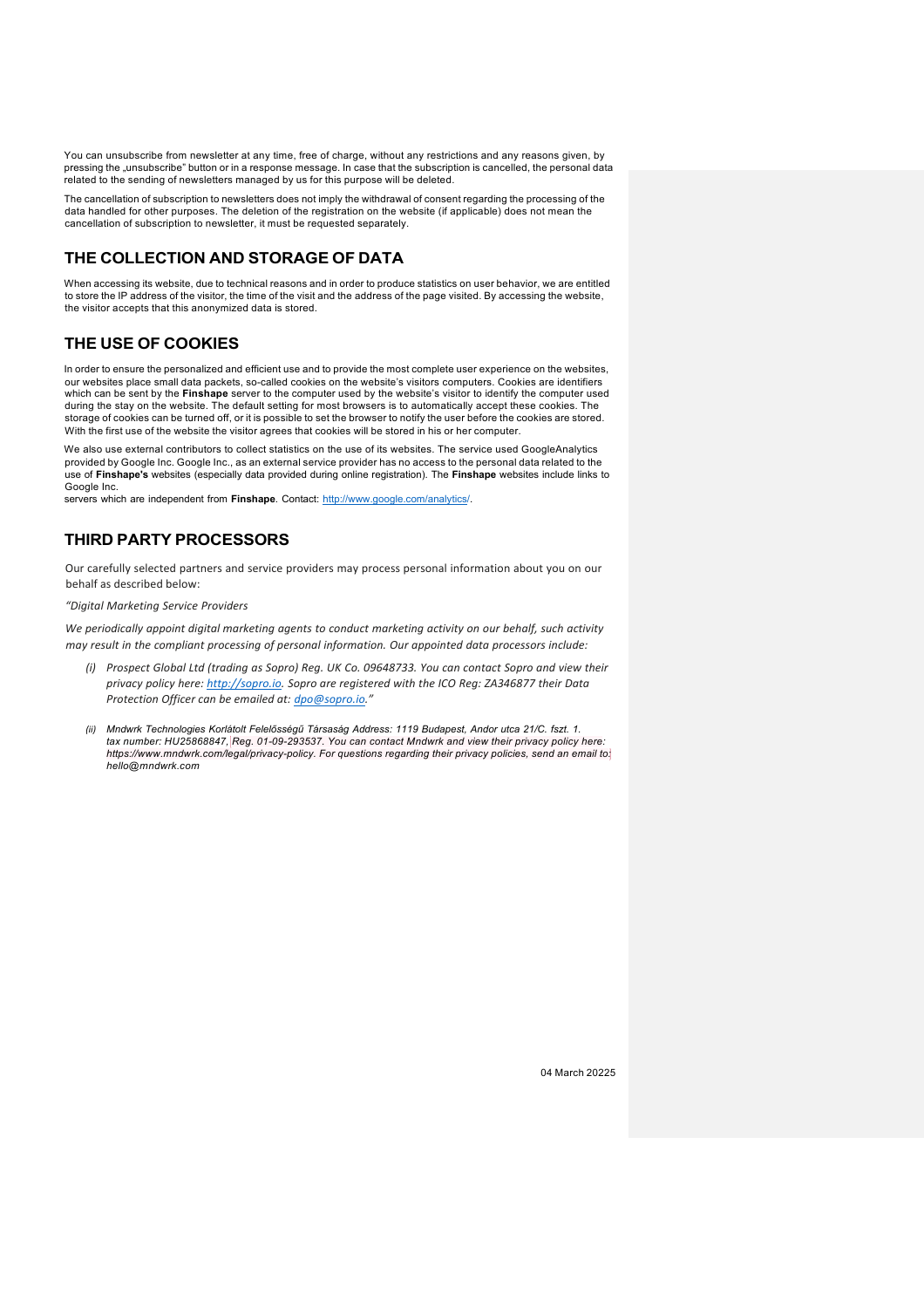You can unsubscribe from newsletter at any time, free of charge, without any restrictions and any reasons given, by pressing the "unsubscribe" button or in a response message. In case that the subscription is cancelled, the personal data related to the sending of newsletters managed by us for this purpose will be deleted.

The cancellation of subscription to newsletters does not imply the withdrawal of consent regarding the processing of the data handled for other purposes. The deletion of the registration on the website (if applicable) does not mean the cancellation of subscription to newsletter, it must be requested separately.

#### **THE COLLECTION AND STORAGE OF DATA**

When accessing its website, due to technical reasons and in order to produce statistics on user behavior, we are entitled to store the IP address of the visitor, the time of the visit and the address of the page visited. By accessing the website, the visitor accepts that this anonymized data is stored.

#### **THE USE OF COOKIES**

In order to ensure the personalized and efficient use and to provide the most complete user experience on the websites, our websites place small data packets, so-called cookies on the website's visitors computers. Cookies are identifiers which can be sent by the **Finshape** server to the computer used by the website's visitor to identify the computer used during the stay on the website. The default setting for most browsers is to automatically accept these cookies. The storage of cookies can be turned off, or it is possible to set the browser to notify the user before the cookies are stored. With the first use of the website the visitor agrees that cookies will be stored in his or her computer.

We also use external contributors to collect statistics on the use of its websites. The service used GoogleAnalytics provided by Google Inc. Google Inc., as an external service provider has no access to the personal data related to the use of **Finshape's** websites (especially data provided during online registration). The **Finshape** websites include links to Google Inc.

servers which are independent from **Finshape**. Contact: http://www.google.com/analytics/.

#### **THIRD PARTY PROCESSORS**

Our carefully selected partners and service providers may process personal information about you on our behalf as described below:

*"Digital Marketing Service Providers*

*We periodically appoint digital marketing agents to conduct marketing activity on our behalf, such activity may result in the compliant processing of personal information. Our appointed data processors include:*

- (i) Prospect Global Ltd (trading as Sopro) Reg. UK Co. 09648733. You can contact Sopro and view their *privacy policy here: http://sopro.io. Sopro are registered with the ICO Reg: ZA346877 their Data Protection Officer can be emailed at: dpo@sopro.io."*
- *(ii) Mndwrk Technologies Korlátolt Felelősségű Társaság Address: 1119 Budapest, Andor utca 21/C. fszt. 1. tax number: HU25868847, Reg. 01-09-293537. You can contact Mndwrk and view their privacy policy here: https://www.mndwrk.com/legal/privacy-policy. For questions regarding their privacy policies, send an email to: hello@mndwrk.com*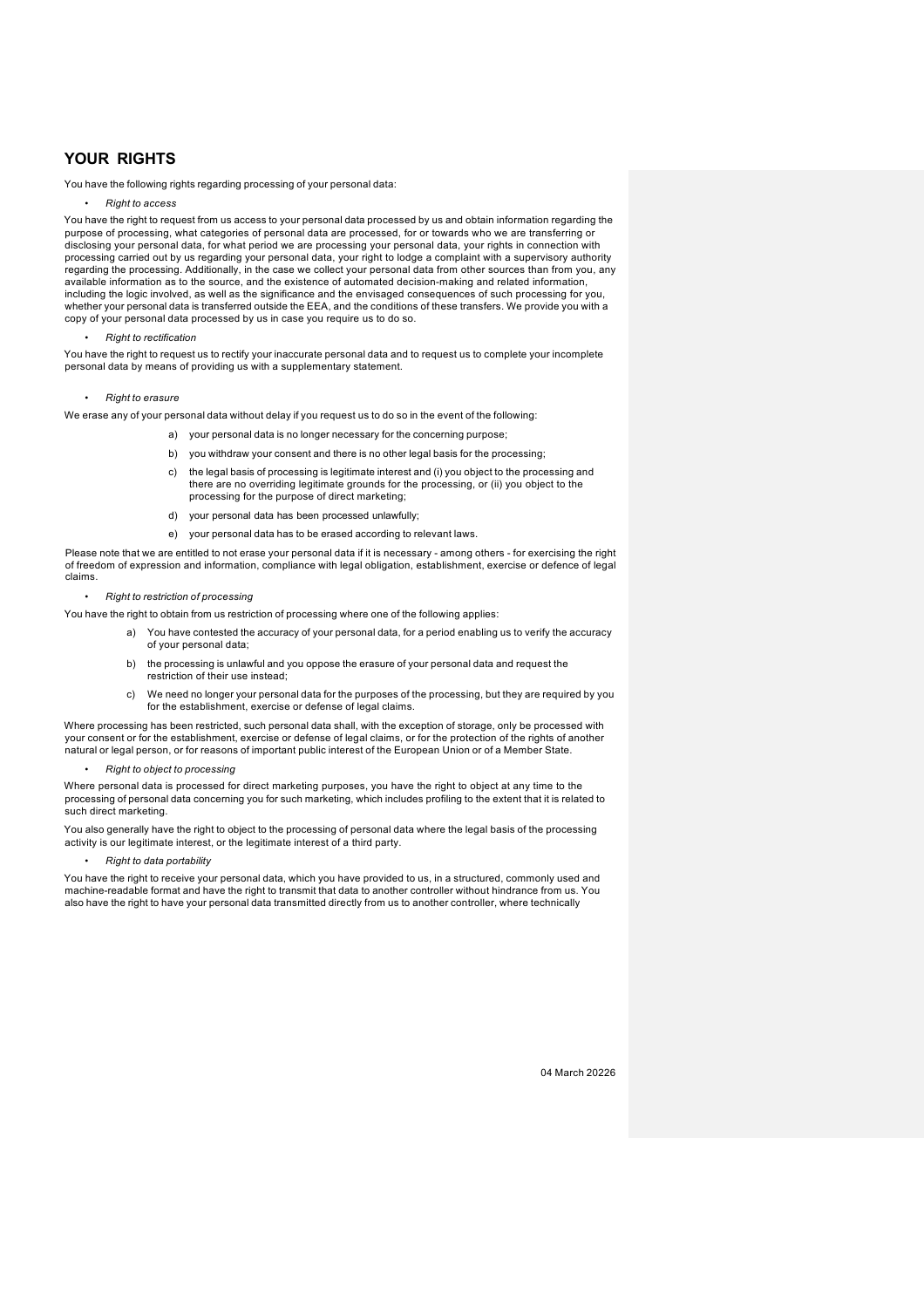#### **YOUR RIGHTS**

You have the following rights regarding processing of your personal data:

• *Right to access*

You have the right to request from us access to your personal data processed by us and obtain information regarding the purpose of processing, what categories of personal data are processed, for or towards who we are transferring or disclosing your personal data, for what period we are processing your personal data, your rights in connection with processing carried out by us regarding your personal data, your right to lodge a complaint with a supervisory authority regarding the processing. Additionally, in the case we collect your personal data from other sources than from you, any available information as to the source, and the existence of automated decision-making and related information, including the logic involved, as well as the significance and the envisaged consequences of such processing for you,<br>whether your personal data is transferred outside the EEA, and the conditions of these transfers. We prov copy of your personal data processed by us in case you require us to do so.

• *Right to rectification*

You have the right to request us to rectify your inaccurate personal data and to request us to complete your incomplete personal data by means of providing us with a supplementary statement.

#### • *Right to erasure*

We erase any of your personal data without delay if you request us to do so in the event of the following:

- a) your personal data is no longer necessary for the concerning purpose;
- b) you withdraw your consent and there is no other legal basis for the processing;
- c) the legal basis of processing is legitimate interest and (i) you object to the processing and there are no overriding legitimate grounds for the processing, or (ii) you object to the processing for the purpose of direct marketing;
- d) your personal data has been processed unlawfully;
- e) your personal data has to be erased according to relevant laws.

Please note that we are entitled to not erase your personal data if it is necessary - among others - for exercising the right of freedom of expression and information, compliance with legal obligation, establishment, exercise or defence of legal claims.

#### • *Right to restriction of processing*

You have the right to obtain from us restriction of processing where one of the following applies:

- a) You have contested the accuracy of your personal data, for a period enabling us to verify the accuracy of your personal data;
- b) the processing is unlawful and you oppose the erasure of your personal data and request the restriction of their use instead;
- c) We need no longer your personal data for the purposes of the processing, but they are required by you for the establishment, exercise or defense of legal claims.

Where processing has been restricted, such personal data shall, with the exception of storage, only be processed with your consent or for the establishment, exercise or defense of legal claims, or for the protection of the rights of another natural or legal person, or for reasons of important public interest of the European Union or of a Member State.

• *Right to object to processing*

Where personal data is processed for direct marketing purposes, you have the right to object at any time to the processing of personal data concerning you for such marketing, which includes profiling to the extent that it is related to such direct marketing.

You also generally have the right to object to the processing of personal data where the legal basis of the processing activity is our legitimate interest, or the legitimate interest of a third party.

• *Right to data portability*

You have the right to receive your personal data, which you have provided to us, in a structured, commonly used and machine-readable format and have the right to transmit that data to another controller without hindrance from us. You also have the right to have your personal data transmitted directly from us to another controller, where technically